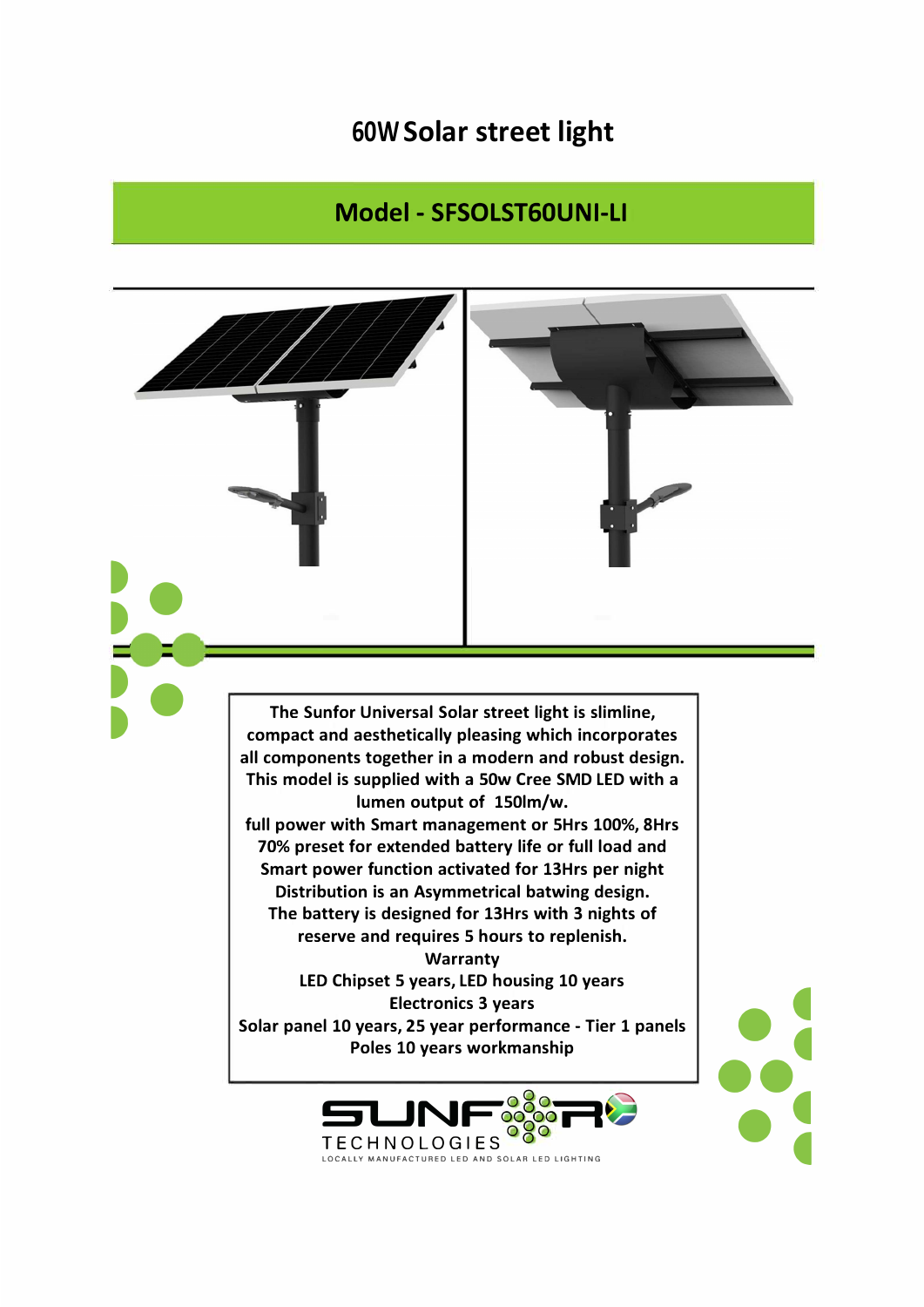## **60W Solar street light**

## **Model - SFSOLST60UNI-LI**